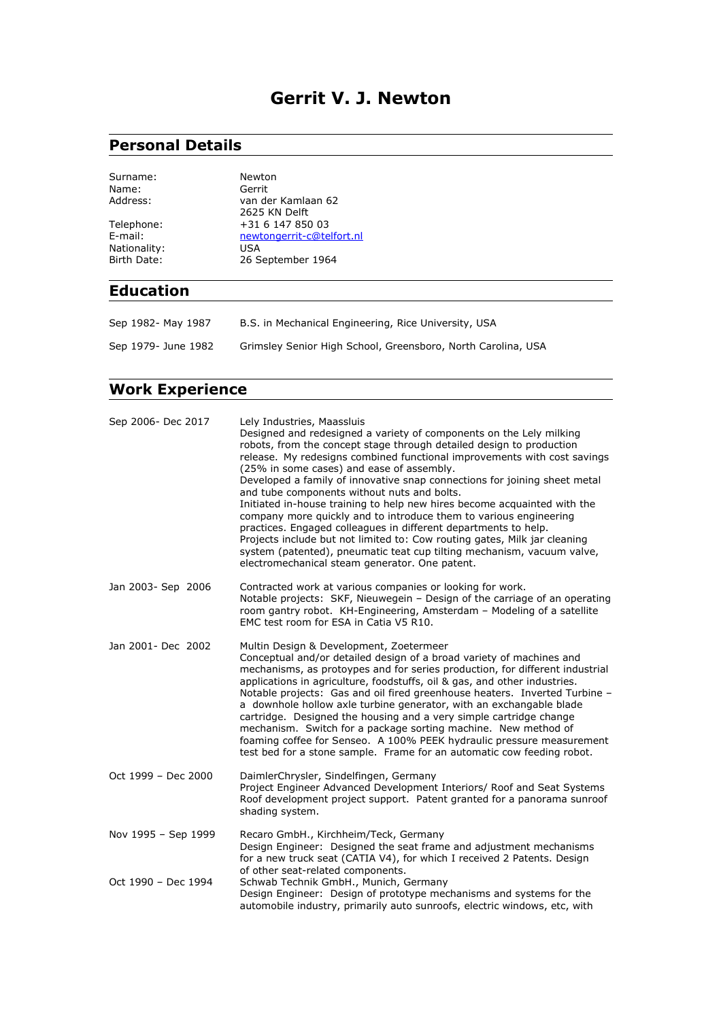## **Gerrit V. J. Newton**

# **Personal Details**

| Surname:<br>Name: | Newton<br>Gerrit                    |
|-------------------|-------------------------------------|
| Address:          | van der Kamlaan 62<br>2625 KN Delft |
| Telephone:        | +31 6 147 850 03                    |
| E-mail:           | newtongerrit-c@telfort.nl           |
| Nationality:      | USA                                 |
| Birth Date:       | 26 September 1964                   |

### **Education**

| Sep 1982- May 1987  | B.S. in Mechanical Engineering, Rice University, USA         |
|---------------------|--------------------------------------------------------------|
| Sep 1979- June 1982 | Grimsley Senior High School, Greensboro, North Carolina, USA |

### **Work Experience**

| Sep 2006- Dec 2017  | Lely Industries, Maassluis<br>Designed and redesigned a variety of components on the Lely milking<br>robots, from the concept stage through detailed design to production<br>release. My redesigns combined functional improvements with cost savings<br>(25% in some cases) and ease of assembly.<br>Developed a family of innovative snap connections for joining sheet metal<br>and tube components without nuts and bolts.<br>Initiated in-house training to help new hires become acquainted with the<br>company more quickly and to introduce them to various engineering<br>practices. Engaged colleagues in different departments to help.<br>Projects include but not limited to: Cow routing gates, Milk jar cleaning<br>system (patented), pneumatic teat cup tilting mechanism, vacuum valve,<br>electromechanical steam generator. One patent. |
|---------------------|-------------------------------------------------------------------------------------------------------------------------------------------------------------------------------------------------------------------------------------------------------------------------------------------------------------------------------------------------------------------------------------------------------------------------------------------------------------------------------------------------------------------------------------------------------------------------------------------------------------------------------------------------------------------------------------------------------------------------------------------------------------------------------------------------------------------------------------------------------------|
| Jan 2003- Sep 2006  | Contracted work at various companies or looking for work.<br>Notable projects: SKF, Nieuwegein - Design of the carriage of an operating<br>room gantry robot. KH-Engineering, Amsterdam - Modeling of a satellite<br>EMC test room for ESA in Catia V5 R10.                                                                                                                                                                                                                                                                                                                                                                                                                                                                                                                                                                                                 |
| Jan 2001- Dec 2002  | Multin Design & Development, Zoetermeer<br>Conceptual and/or detailed design of a broad variety of machines and<br>mechanisms, as protoypes and for series production, for different industrial<br>applications in agriculture, foodstuffs, oil & gas, and other industries.<br>Notable projects: Gas and oil fired greenhouse heaters. Inverted Turbine -<br>a downhole hollow axle turbine generator, with an exchangable blade<br>cartridge. Designed the housing and a very simple cartridge change<br>mechanism. Switch for a package sorting machine. New method of<br>foaming coffee for Senseo. A 100% PEEK hydraulic pressure measurement<br>test bed for a stone sample. Frame for an automatic cow feeding robot.                                                                                                                                |
| Oct 1999 - Dec 2000 | DaimlerChrysler, Sindelfingen, Germany<br>Project Engineer Advanced Development Interiors/ Roof and Seat Systems<br>Roof development project support. Patent granted for a panorama sunroof<br>shading system.                                                                                                                                                                                                                                                                                                                                                                                                                                                                                                                                                                                                                                              |
| Nov 1995 - Sep 1999 | Recaro GmbH., Kirchheim/Teck, Germany<br>Design Engineer: Designed the seat frame and adjustment mechanisms<br>for a new truck seat (CATIA V4), for which I received 2 Patents. Design<br>of other seat-related components.                                                                                                                                                                                                                                                                                                                                                                                                                                                                                                                                                                                                                                 |
| Oct 1990 - Dec 1994 | Schwab Technik GmbH., Munich, Germany<br>Design Engineer: Design of prototype mechanisms and systems for the<br>automobile industry, primarily auto sunroofs, electric windows, etc, with                                                                                                                                                                                                                                                                                                                                                                                                                                                                                                                                                                                                                                                                   |